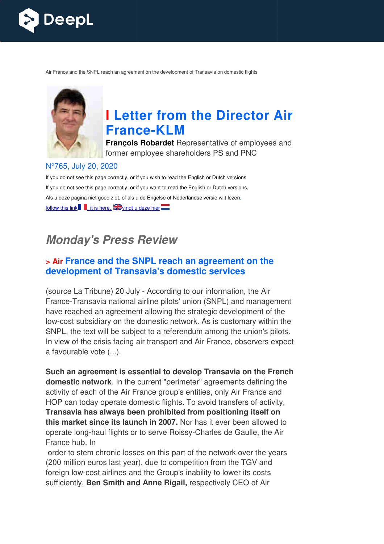

Air France and the SNPL reach an agreement on the development of Transavia on domestic flights



# **I Letter from the Director Air France France-KLM**

**François Robardet** Representative of employees and former employee shareholders PS and PNC

#### N°765, July 20, 2020

If you do not see this page correctly, or if you wish to read the English or Dutch versions If you do not see this page correctly, or if you want to read the English or Dutch versions, Als u deze pagina niet goed ziet, of als u de Engelse of Nederlandse versie wilt lezen, follow this link  $\blacksquare$ , it is here,  $\mathbb{Z}$  vindt u deze hier

## **Monday's Press Review**

#### **> Air France and the SNPL reach an agreement on the development of Transavia's domestic services**

(source La Tribune) 20 July - According to our information, the Air France-Transavia national airline pilots' union (SNPL) and management have reached an agreement allowing the strategic development of the low-cost subsidiary on the domestic network. As is customary within the SNPL, the text will be subject to a referendum among the union's pilots. In view of the crisis facing air transport and Air France, observers expect a favourable vote (...).

**Such an agreement is essential to develop Transavia on the French domestic network**. In the current "perimeter" agreements defining the activity of each of the Air France group's entities, only Air France and HOP can today operate domestic flights. To avoid transfers of activity, **Transavia has always been prohibited from positioning itself on this market since its launch in 2007. this market since its launch in 2007.** Nor has it ever been allowed to<br>operate long-haul flights or to serve Roissy-Charles de Gaulle, the Air France hub. In cost subsidiary on the domestic network. As is customary within the<br>
PL, the text will be subject to a referendum among the union's pilots<br>
ew of the crisis facing air transport and Air France, observers expection<br>
wourabl

order to stem chronic losses on this part of the network over the years (200 million euros last year), due to competition from the TGV and foreign low-cost airlines and the Group's inability to lower its costs foreign low-cost airlines and the Group's inability to lower its costs<br>sufficiently, **Ben Smith and Anne Rigail,** respectively CEO of Air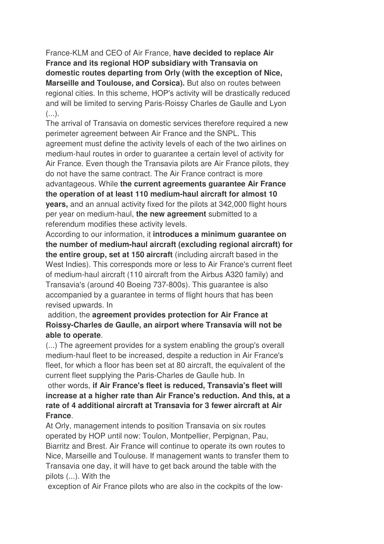France-KLM and CEO of Air France, **have decided to replace Air France and its regional HOP subsidiary with Transavia on domestic routes departing from Orly (with the exception of Nice, Marseille and Toulouse, and Corsica).** But also on routes between regional cities. In this scheme, HOP's activity will be drastically reduced and will be limited to serving Paris-Roissy Charles de Gaulle and Lyon  $($ ...).

The arrival of Transavia on domestic services therefore required a new perimeter agreement between Air France and the SNPL. This agreement must define the activity levels of each of the two airlines on medium-haul routes in order to guarantee a certain level of activity for Air France. Even though the Transavia pilots are Air France pilots, they do not have the same contract. The Air France contract is more advantageous. While **the current agreements guarantee Air France the operation of at least 110 medium-haul aircraft for almost 10 years,** and an annual activity fixed for the pilots at 342,000 flight hours per year on medium-haul, **the new agreement** submitted to a referendum modifies these activity levels.

According to our information, it **introduces a minimum guarantee on the number of medium-haul aircraft (excluding regional aircraft) for the entire group, set at 150 aircraft** (including aircraft based in the West Indies). This corresponds more or less to Air France's current fleet of medium-haul aircraft (110 aircraft from the Airbus A320 family) and Transavia's (around 40 Boeing 737-800s). This guarantee is also accompanied by a guarantee in terms of flight hours that has been revised upwards. In

#### addition, the **agreement provides protection for Air France at Roissy-Charles de Gaulle, an airport where Transavia will not be able to operate**.

(...) The agreement provides for a system enabling the group's overall medium-haul fleet to be increased, despite a reduction in Air France's fleet, for which a floor has been set at 80 aircraft, the equivalent of the current fleet supplying the Paris-Charles de Gaulle hub. In

 other words, **if Air France's fleet is reduced, Transavia's fleet will increase at a higher rate than Air France's reduction. And this, at a rate of 4 additional aircraft at Transavia for 3 fewer aircraft at Air France**.

At Orly, management intends to position Transavia on six routes operated by HOP until now: Toulon, Montpellier, Perpignan, Pau, Biarritz and Brest. Air France will continue to operate its own routes to Nice, Marseille and Toulouse. If management wants to transfer them to Transavia one day, it will have to get back around the table with the pilots (...). With the

exception of Air France pilots who are also in the cockpits of the low-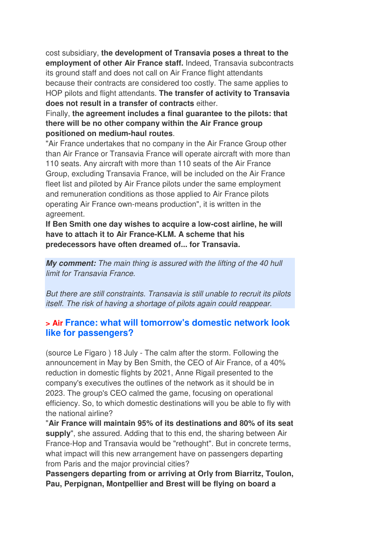cost subsidiary, **the development of Transavia poses a threat to the employment of other Air France staff.** Indeed, Transavia subcontracts its ground staff and does not call on Air France flight attendants because their contracts are considered too costly. The same applies to HOP pilots and flight attendants. **The transfer of activity to Transavia does not result in a transfer of contracts** either.

Finally, **the agreement includes a final guarantee to the pilots: that there will be no other company within the Air France group positioned on medium-haul routes**.

"Air France undertakes that no company in the Air France Group other than Air France or Transavia France will operate aircraft with more than 110 seats. Any aircraft with more than 110 seats of the Air France Group, excluding Transavia France, will be included on the Air France fleet list and piloted by Air France pilots under the same employment and remuneration conditions as those applied to Air France pilots operating Air France own-means production", it is written in the agreement.

**If Ben Smith one day wishes to acquire a low-cost airline, he will have to attach it to Air France-KLM. A scheme that his predecessors have often dreamed of... for Transavia.**

**My comment:** *The main thing is assured with the lifting of the 40 hull limit for Transavia France.* 

*But there are still constraints. Transavia is still unable to recruit its pilots itself. The risk of having a shortage of pilots again could reappear.* 

## **> Air France: what will tomorrow's domestic network look like for passengers?**

(source Le Figaro ) 18 July - The calm after the storm. Following the announcement in May by Ben Smith, the CEO of Air France, of a 40% reduction in domestic flights by 2021, Anne Rigail presented to the company's executives the outlines of the network as it should be in 2023. The group's CEO calmed the game, focusing on operational efficiency. So, to which domestic destinations will you be able to fly with the national airline?

"**Air France will maintain 95% of its destinations and 80% of its seat supply**", she assured. Adding that to this end, the sharing between Air France-Hop and Transavia would be "rethought". But in concrete terms, what impact will this new arrangement have on passengers departing from Paris and the major provincial cities?

**Passengers departing from or arriving at Orly from Biarritz, Toulon, Pau, Perpignan, Montpellier and Brest will be flying on board a**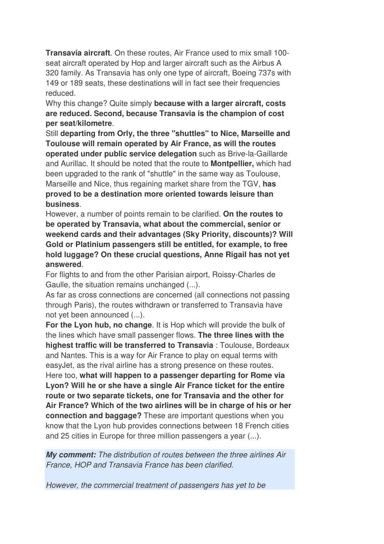**Transavia aircraft**. On these routes, Air France used to mix small 100 seat aircraft operated by Hop and larger aircraft such as the Airbus A 320 family. As Transavia has only one type of aircraft, Boeing 737s with 149 or 189 seats, these destinations will in fact see their frequencies reduced.

Why this change? Quite simply **because with a larger aircraft, costs are reduced. Second, because Transavia is the champion of cost per seat/kilometre**.

Still **departing from Orly, the three "shuttles" to Nice, Marseille and Toulouse will remain operated by Air France, as will the routes operated under public service delegation** such as Brive-la-Gaillarde and Aurillac. It should be noted that the route to **Montpellier,** which had been upgraded to the rank of "shuttle" in the same way as Toulouse, Marseille and Nice, thus regaining market share from the TGV, **has proved to be a destination more oriented towards leisure than business**.

However, a number of points remain to be clarified. **On the routes to be operated by Transavia, what about the commercial, senior or weekend cards and their advantages (Sky Priority, discounts)? Will Gold or Platinium passengers still be entitled, for example, to free hold luggage? On these crucial questions, Anne Rigail has not yet answered**.

For flights to and from the other Parisian airport, Roissy-Charles de Gaulle, the situation remains unchanged (...).

As far as cross connections are concerned (all connections not passing through Paris), the routes withdrawn or transferred to Transavia have not yet been announced (...).

**For the Lyon hub, no change**. It is Hop which will provide the bulk of the lines which have small passenger flows. **The three lines with the highest traffic will be transferred to Transavia** : Toulouse, Bordeaux and Nantes. This is a way for Air France to play on equal terms with easyJet, as the rival airline has a strong presence on these routes. Here too, **what will happen to a passenger departing for Rome via Lyon? Will he or she have a single Air France ticket for the entire route or two separate tickets, one for Transavia and the other for Air France? Which of the two airlines will be in charge of his or her connection and baggage?** These are important questions when you know that the Lyon hub provides connections between 18 French cities and 25 cities in Europe for three million passengers a year (...).

**My comment:** *The distribution of routes between the three airlines Air France, HOP and Transavia France has been clarified.* 

*However, the commercial treatment of passengers has yet to be*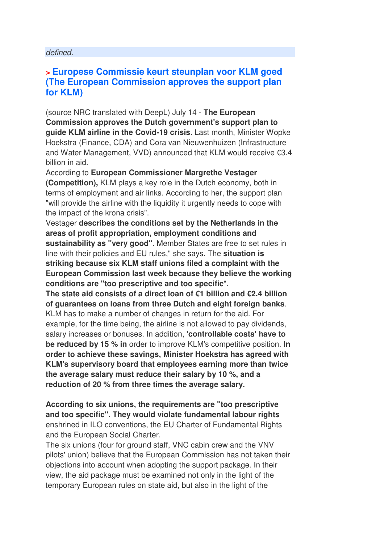#### *defined.*

#### **> Europese Commissie keurt steunplan voor KLM goed (The European Commission approves the support plan for KLM)**

(source NRC translated with DeepL) July 14 - **The European Commission approves the Dutch government's support plan to guide KLM airline in the Covid-19 crisis**. Last month, Minister Wopke Hoekstra (Finance, CDA) and Cora van Nieuwenhuizen (Infrastructure and Water Management, VVD) announced that KLM would receive €3.4 billion in aid.

According to **European Commissioner Margrethe Vestager** 

**(Competition),** KLM plays a key role in the Dutch economy, both in terms of employment and air links. According to her, the support plan "will provide the airline with the liquidity it urgently needs to cope with the impact of the krona crisis".

Vestager **describes the conditions set by the Netherlands in the areas of profit appropriation, employment conditions and sustainability as "very good"**. Member States are free to set rules in line with their policies and EU rules," she says. The **situation is striking because six KLM staff unions filed a complaint with the European Commission last week because they believe the working conditions are "too prescriptive and too specific**".

**The state aid consists of a direct loan of €1 billion and €2.4 billion of guarantees on loans from three Dutch and eight foreign banks**. KLM has to make a number of changes in return for the aid. For example, for the time being, the airline is not allowed to pay dividends, salary increases or bonuses. In addition, **'controllable costs' have to be reduced by 15 % in** order to improve KLM's competitive position. **In order to achieve these savings, Minister Hoekstra has agreed with KLM's supervisory board that employees earning more than twice the average salary must reduce their salary by 10 %, and a reduction of 20 % from three times the average salary.** 

**According to six unions, the requirements are "too prescriptive and too specific". They would violate fundamental labour rights** enshrined in ILO conventions, the EU Charter of Fundamental Rights and the European Social Charter.

The six unions (four for ground staff, VNC cabin crew and the VNV pilots' union) believe that the European Commission has not taken their objections into account when adopting the support package. In their view, the aid package must be examined not only in the light of the temporary European rules on state aid, but also in the light of the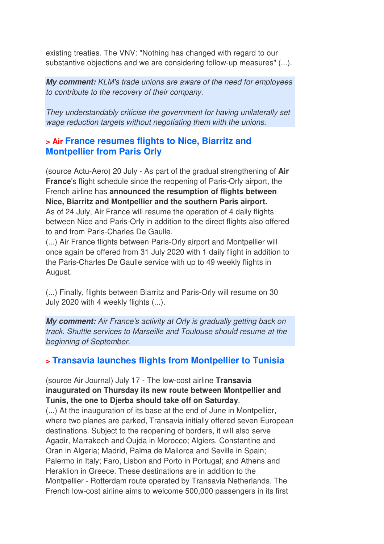existing treaties. The VNV: "Nothing has changed with regard to our substantive objections and we are considering follow-up measures" (...).

**My comment:** *KLM's trade unions are aware of the need for employees to contribute to the recovery of their company.* 

*They understandably criticise the government for having unilaterally set wage reduction targets without negotiating them with the unions.*

## **> Air France resumes flights to Nice, Biarritz and Montpellier from Paris Orly**

(source Actu-Aero) 20 July - As part of the gradual strengthening of **Air France**'s flight schedule since the reopening of Paris-Orly airport, the French airline has **announced the resumption of flights between Nice, Biarritz and Montpellier and the southern Paris airport.**  As of 24 July, Air France will resume the operation of 4 daily flights between Nice and Paris-Orly in addition to the direct flights also offered to and from Paris-Charles De Gaulle.

(...) Air France flights between Paris-Orly airport and Montpellier will once again be offered from 31 July 2020 with 1 daily flight in addition to the Paris-Charles De Gaulle service with up to 49 weekly flights in August.

(...) Finally, flights between Biarritz and Paris-Orly will resume on 30 July 2020 with 4 weekly flights (...).

**My comment:** *Air France's activity at Orly is gradually getting back on track. Shuttle services to Marseille and Toulouse should resume at the beginning of September.*

## **> Transavia launches flights from Montpellier to Tunisia**

#### (source Air Journal) July 17 - The low-cost airline **Transavia inaugurated on Thursday its new route between Montpellier and Tunis, the one to Djerba should take off on Saturday**.

(...) At the inauguration of its base at the end of June in Montpellier, where two planes are parked, Transavia initially offered seven European destinations. Subject to the reopening of borders, it will also serve Agadir, Marrakech and Oujda in Morocco; Algiers, Constantine and Oran in Algeria; Madrid, Palma de Mallorca and Seville in Spain; Palermo in Italy; Faro, Lisbon and Porto in Portugal; and Athens and Heraklion in Greece. These destinations are in addition to the Montpellier - Rotterdam route operated by Transavia Netherlands. The French low-cost airline aims to welcome 500,000 passengers in its first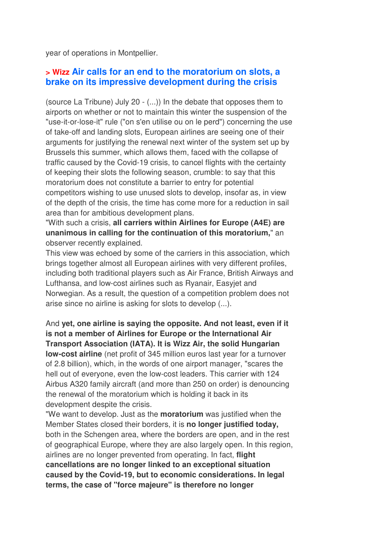year of operations in Montpellier.

#### **> Wizz Air calls for an end to the moratorium on slots, a brake on its impressive development during the crisis**

(source La Tribune) July 20 - (...)) In the debate that opposes them to airports on whether or not to maintain this winter the suspension of the "use-it-or-lose-it" rule ("on s'en utilise ou on le perd") concerning the use of take-off and landing slots, European airlines are seeing one of their arguments for justifying the renewal next winter of the system set up by Brussels this summer, which allows them, faced with the collapse of traffic caused by the Covid-19 crisis, to cancel flights with the certainty of keeping their slots the following season, crumble: to say that this moratorium does not constitute a barrier to entry for potential competitors wishing to use unused slots to develop, insofar as, in view of the depth of the crisis, the time has come more for a reduction in sail area than for ambitious development plans.

"With such a crisis, **all carriers within Airlines for Europe (A4E) are unanimous in calling for the continuation of this moratorium,**" an observer recently explained.

This view was echoed by some of the carriers in this association, which brings together almost all European airlines with very different profiles, including both traditional players such as Air France, British Airways and Lufthansa, and low-cost airlines such as Ryanair, Easyjet and Norwegian. As a result, the question of a competition problem does not arise since no airline is asking for slots to develop (...).

And **yet, one airline is saying the opposite. And not least, even if it is not a member of Airlines for Europe or the International Air Transport Association (IATA). It is Wizz Air, the solid Hungarian low-cost airline** (net profit of 345 million euros last year for a turnover of 2.8 billion), which, in the words of one airport manager, "scares the hell out of everyone, even the low-cost leaders. This carrier with 124 Airbus A320 family aircraft (and more than 250 on order) is denouncing the renewal of the moratorium which is holding it back in its development despite the crisis.

"We want to develop. Just as the **moratorium** was justified when the Member States closed their borders, it is **no longer justified today,** both in the Schengen area, where the borders are open, and in the rest of geographical Europe, where they are also largely open. In this region, airlines are no longer prevented from operating. In fact, **flight cancellations are no longer linked to an exceptional situation caused by the Covid-19, but to economic considerations. In legal terms, the case of "force majeure" is therefore no longer**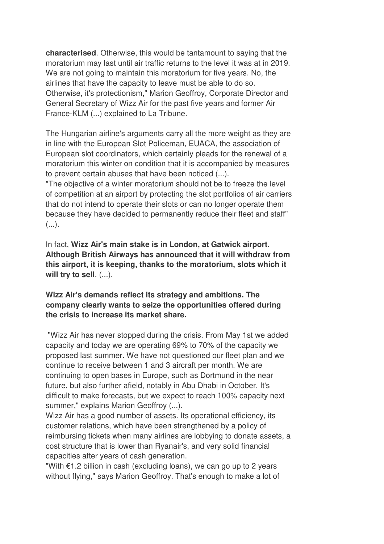**characterised**. Otherwise, this would be tantamount to saying that the moratorium may last until air traffic returns to the level it was at in 2019. We are not going to maintain this moratorium for five years. No, the airlines that have the capacity to leave must be able to do so. Otherwise, it's protectionism," Marion Geoffroy, Corporate Director and General Secretary of Wizz Air for the past five years and former Air France-KLM (...) explained to La Tribune.

The Hungarian airline's arguments carry all the more weight as they are in line with the European Slot Policeman, EUACA, the association of European slot coordinators, which certainly pleads for the renewal of a moratorium this winter on condition that it is accompanied by measures to prevent certain abuses that have been noticed (...).

"The objective of a winter moratorium should not be to freeze the level of competition at an airport by protecting the slot portfolios of air carriers that do not intend to operate their slots or can no longer operate them because they have decided to permanently reduce their fleet and staff"  $(\ldots).$ 

In fact, **Wizz Air's main stake is in London, at Gatwick airport. Although British Airways has announced that it will withdraw from this airport, it is keeping, thanks to the moratorium, slots which it will try to sell**. (...).

#### **Wizz Air's demands reflect its strategy and ambitions. The company clearly wants to seize the opportunities offered during the crisis to increase its market share.**

 "Wizz Air has never stopped during the crisis. From May 1st we added capacity and today we are operating 69% to 70% of the capacity we proposed last summer. We have not questioned our fleet plan and we continue to receive between 1 and 3 aircraft per month. We are continuing to open bases in Europe, such as Dortmund in the near future, but also further afield, notably in Abu Dhabi in October. It's difficult to make forecasts, but we expect to reach 100% capacity next summer," explains Marion Geoffroy (...).

Wizz Air has a good number of assets. Its operational efficiency, its customer relations, which have been strengthened by a policy of reimbursing tickets when many airlines are lobbying to donate assets, a cost structure that is lower than Ryanair's, and very solid financial capacities after years of cash generation.

"With  $€1.2$  billion in cash (excluding loans), we can go up to 2 years without flying," says Marion Geoffroy. That's enough to make a lot of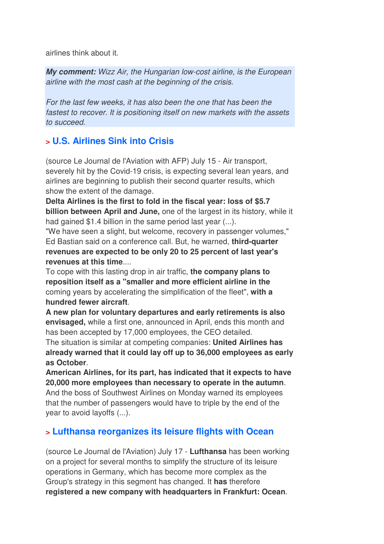airlines think about it.

**My comment:** *Wizz Air, the Hungarian low-cost airline, is the European airline with the most cash at the beginning of the crisis.* 

*For the last few weeks, it has also been the one that has been the fastest to recover. It is positioning itself on new markets with the assets to succeed.* 

## **> U.S. Airlines Sink into Crisis**

(source Le Journal de l'Aviation with AFP) July 15 - Air transport, severely hit by the Covid-19 crisis, is expecting several lean years, and airlines are beginning to publish their second quarter results, which show the extent of the damage.

**Delta Airlines is the first to fold in the fiscal year: loss of \$5.7 billion between April and June,** one of the largest in its history, while it had gained \$1.4 billion in the same period last year (...).

"We have seen a slight, but welcome, recovery in passenger volumes," Ed Bastian said on a conference call. But, he warned, **third-quarter revenues are expected to be only 20 to 25 percent of last year's revenues at this time**....

To cope with this lasting drop in air traffic, **the company plans to reposition itself as a "smaller and more efficient airline in the** coming years by accelerating the simplification of the fleet", **with a hundred fewer aircraft**.

**A new plan for voluntary departures and early retirements is also envisaged,** while a first one, announced in April, ends this month and has been accepted by 17,000 employees, the CEO detailed. The situation is similar at competing companies: **United Airlines has already warned that it could lay off up to 36,000 employees as early as October**.

**American Airlines, for its part, has indicated that it expects to have 20,000 more employees than necessary to operate in the autumn**. And the boss of Southwest Airlines on Monday warned its employees that the number of passengers would have to triple by the end of the year to avoid layoffs (...).

## **> Lufthansa reorganizes its leisure flights with Ocean**

(source Le Journal de l'Aviation) July 17 - **Lufthansa** has been working on a project for several months to simplify the structure of its leisure operations in Germany, which has become more complex as the Group's strategy in this segment has changed. It **has** therefore **registered a new company with headquarters in Frankfurt: Ocean**.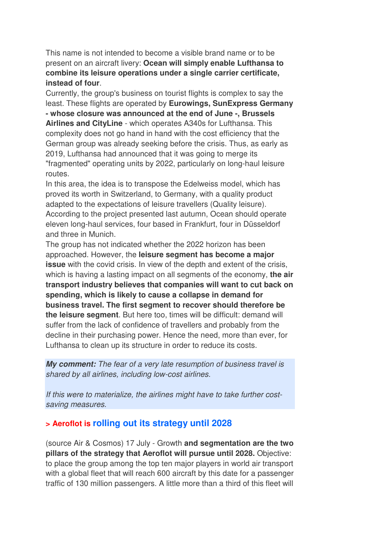This name is not intended to become a visible brand name or to be present on an aircraft livery: **Ocean will simply enable Lufthansa to combine its leisure operations under a single carrier certificate, instead of four**.

Currently, the group's business on tourist flights is complex to say the least. These flights are operated by **Eurowings, SunExpress Germany - whose closure was announced at the end of June -, Brussels Airlines and CityLine** - which operates A340s for Lufthansa. This complexity does not go hand in hand with the cost efficiency that the German group was already seeking before the crisis. Thus, as early as 2019, Lufthansa had announced that it was going to merge its "fragmented" operating units by 2022, particularly on long-haul leisure routes.

In this area, the idea is to transpose the Edelweiss model, which has proved its worth in Switzerland, to Germany, with a quality product adapted to the expectations of leisure travellers (Quality leisure). According to the project presented last autumn, Ocean should operate eleven long-haul services, four based in Frankfurt, four in Düsseldorf and three in Munich.

The group has not indicated whether the 2022 horizon has been approached. However, the **leisure segment has become a major issue** with the covid crisis. In view of the depth and extent of the crisis, which is having a lasting impact on all segments of the economy, **the air transport industry believes that companies will want to cut back on spending, which is likely to cause a collapse in demand for business travel. The first segment to recover should therefore be the leisure segment**. But here too, times will be difficult: demand will suffer from the lack of confidence of travellers and probably from the decline in their purchasing power. Hence the need, more than ever, for Lufthansa to clean up its structure in order to reduce its costs.

**My comment:** *The fear of a very late resumption of business travel is shared by all airlines, including low-cost airlines.* 

*If this were to materialize, the airlines might have to take further costsaving measures.*

## **> Aeroflot is rolling out its strategy until 2028**

(source Air & Cosmos) 17 July - Growth **and segmentation are the two pillars of the strategy that Aeroflot will pursue until 2028.** Objective: to place the group among the top ten major players in world air transport with a global fleet that will reach 600 aircraft by this date for a passenger traffic of 130 million passengers. A little more than a third of this fleet will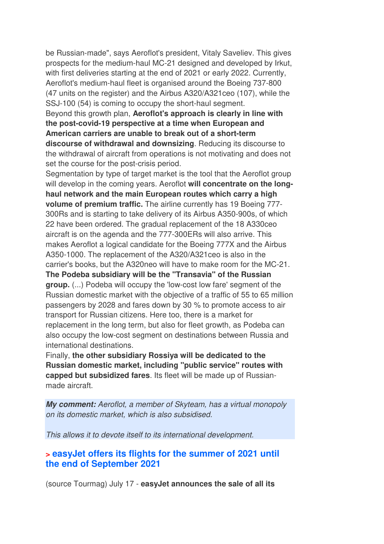be Russian-made", says Aeroflot's president, Vitaly Saveliev. This gives prospects for the medium-haul MC-21 designed and developed by Irkut, with first deliveries starting at the end of 2021 or early 2022. Currently, Aeroflot's medium-haul fleet is organised around the Boeing 737-800 (47 units on the register) and the Airbus A320/A321ceo (107), while the SSJ-100 (54) is coming to occupy the short-haul segment.

Beyond this growth plan, **Aeroflot's approach is clearly in line with the post-covid-19 perspective at a time when European and American carriers are unable to break out of a short-term discourse of withdrawal and downsizing**. Reducing its discourse to the withdrawal of aircraft from operations is not motivating and does not set the course for the post-crisis period.

Segmentation by type of target market is the tool that the Aeroflot group will develop in the coming years. Aeroflot **will concentrate on the longhaul network and the main European routes which carry a high volume of premium traffic.** The airline currently has 19 Boeing 777- 300Rs and is starting to take delivery of its Airbus A350-900s, of which 22 have been ordered. The gradual replacement of the 18 A330ceo aircraft is on the agenda and the 777-300ERs will also arrive. This makes Aeroflot a logical candidate for the Boeing 777X and the Airbus A350-1000. The replacement of the A320/A321ceo is also in the carrier's books, but the A320neo will have to make room for the MC-21. **The Podeba subsidiary will be the "Transavia" of the Russian group.** (...) Podeba will occupy the 'low-cost low fare' segment of the Russian domestic market with the objective of a traffic of 55 to 65 million passengers by 2028 and fares down by 30 % to promote access to air transport for Russian citizens. Here too, there is a market for replacement in the long term, but also for fleet growth, as Podeba can also occupy the low-cost segment on destinations between Russia and international destinations.

Finally, **the other subsidiary Rossiya will be dedicated to the Russian domestic market, including "public service" routes with capped but subsidized fares**. Its fleet will be made up of Russianmade aircraft.

**My comment:** *Aeroflot, a member of Skyteam, has a virtual monopoly on its domestic market, which is also subsidised.* 

*This allows it to devote itself to its international development.*

#### **> easyJet offers its flights for the summer of 2021 until the end of September 2021**

(source Tourmag) July 17 - **easyJet announces the sale of all its**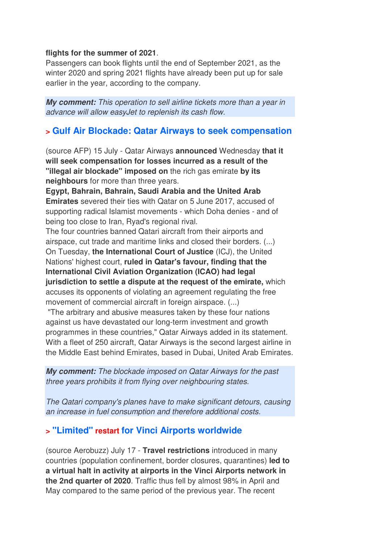#### **flights for the summer of 2021**.

Passengers can book flights until the end of September 2021, as the winter 2020 and spring 2021 flights have already been put up for sale earlier in the year, according to the company.

**My comment:** *This operation to sell airline tickets more than a year in advance will allow easyJet to replenish its cash flow.*

#### **> Gulf Air Blockade: Qatar Airways to seek compensation**

(source AFP) 15 July - Qatar Airways **announced** Wednesday **that it will seek compensation for losses incurred as a result of the "illegal air blockade" imposed on** the rich gas emirate **by its neighbours** for more than three years.

**Egypt, Bahrain, Bahrain, Saudi Arabia and the United Arab Emirates** severed their ties with Qatar on 5 June 2017, accused of supporting radical Islamist movements - which Doha denies - and of being too close to Iran, Ryad's regional rival.

The four countries banned Qatari aircraft from their airports and airspace, cut trade and maritime links and closed their borders. (...) On Tuesday, **the International Court of Justice** (ICJ), the United Nations' highest court, **ruled in Qatar's favour, finding that the International Civil Aviation Organization (ICAO) had legal jurisdiction to settle a dispute at the request of the emirate,** which accuses its opponents of violating an agreement regulating the free movement of commercial aircraft in foreign airspace. (...)

 "The arbitrary and abusive measures taken by these four nations against us have devastated our long-term investment and growth programmes in these countries," Qatar Airways added in its statement. With a fleet of 250 aircraft, Qatar Airways is the second largest airline in the Middle East behind Emirates, based in Dubai, United Arab Emirates.

**My comment:** *The blockade imposed on Qatar Airways for the past three years prohibits it from flying over neighbouring states.* 

*The Qatari company's planes have to make significant detours, causing an increase in fuel consumption and therefore additional costs.* 

#### **> "Limited" restart for Vinci Airports worldwide**

(source Aerobuzz) July 17 - **Travel restrictions** introduced in many countries (population confinement, border closures, quarantines) **led to a virtual halt in activity at airports in the Vinci Airports network in the 2nd quarter of 2020**. Traffic thus fell by almost 98% in April and May compared to the same period of the previous year. The recent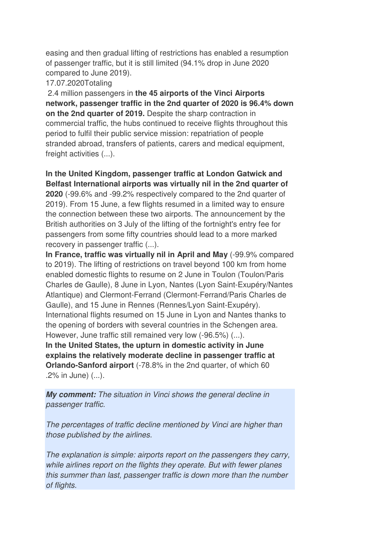easing and then gradual lifting of restrictions has enabled a resumption of passenger traffic, but it is still limited (94.1% drop in June 2020 compared to June 2019).

#### 17.07.2020Totaling

 2.4 million passengers in **the 45 airports of the Vinci Airports network, passenger traffic in the 2nd quarter of 2020 is 96.4% down on the 2nd quarter of 2019.** Despite the sharp contraction in commercial traffic, the hubs continued to receive flights throughout this period to fulfil their public service mission: repatriation of people stranded abroad, transfers of patients, carers and medical equipment, freight activities (...).

**In the United Kingdom, passenger traffic at London Gatwick and Belfast International airports was virtually nil in the 2nd quarter of 2020** (-99.6% and -99.2% respectively compared to the 2nd quarter of 2019). From 15 June, a few flights resumed in a limited way to ensure the connection between these two airports. The announcement by the British authorities on 3 July of the lifting of the fortnight's entry fee for passengers from some fifty countries should lead to a more marked recovery in passenger traffic (...).

**In France, traffic was virtually nil in April and May** (-99.9% compared to 2019). The lifting of restrictions on travel beyond 100 km from home enabled domestic flights to resume on 2 June in Toulon (Toulon/Paris Charles de Gaulle), 8 June in Lyon, Nantes (Lyon Saint-Exupéry/Nantes Atlantique) and Clermont-Ferrand (Clermont-Ferrand/Paris Charles de Gaulle), and 15 June in Rennes (Rennes/Lyon Saint-Exupéry). International flights resumed on 15 June in Lyon and Nantes thanks to the opening of borders with several countries in the Schengen area. However, June traffic still remained very low (-96.5%) (...). **In the United States, the upturn in domestic activity in June explains the relatively moderate decline in passenger traffic at Orlando-Sanford airport** (-78.8% in the 2nd quarter, of which 60 .2% in June) (...).

**My comment:** *The situation in Vinci shows the general decline in passenger traffic.* 

*The percentages of traffic decline mentioned by Vinci are higher than those published by the airlines.* 

*The explanation is simple: airports report on the passengers they carry, while airlines report on the flights they operate. But with fewer planes this summer than last, passenger traffic is down more than the number of flights.*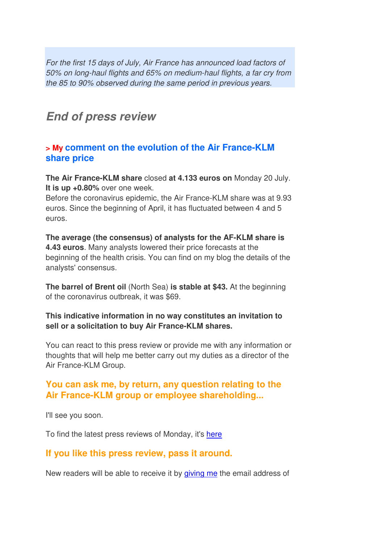*For the first 15 days of July, Air France has announced load factors of 50% on long-haul flights and 65% on medium-haul flights, a far cry from the 85 to 90% observed during the same period in previous years.*

## **End of press review**

#### **> My comment on the evolution of the Air France-KLM share price**

**The Air France-KLM share** closed **at 4.133 euros on** Monday 20 July. **It is up +0.80%** over one week.

Before the coronavirus epidemic, the Air France-KLM share was at 9.93 euros. Since the beginning of April, it has fluctuated between 4 and 5 euros.

**The average (the consensus) of analysts for the AF-KLM share is 4.43 euros**. Many analysts lowered their price forecasts at the beginning of the health crisis. You can find on my blog the details of the analysts' consensus.

**The barrel of Brent oil** (North Sea) **is stable at \$43.** At the beginning of the coronavirus outbreak, it was \$69.

#### **This indicative information in no way constitutes an invitation to sell or a solicitation to buy Air France-KLM shares.**

You can react to this press review or provide me with any information or thoughts that will help me better carry out my duties as a director of the Air France-KLM Group.

## **You can ask me, by return, any question relating to the Air France-KLM group or employee shareholding...**

I'll see you soon.

To find the latest press reviews of Monday, it's here

## **If you like this press review, pass it around.**

New readers will be able to receive it by giving me the email address of